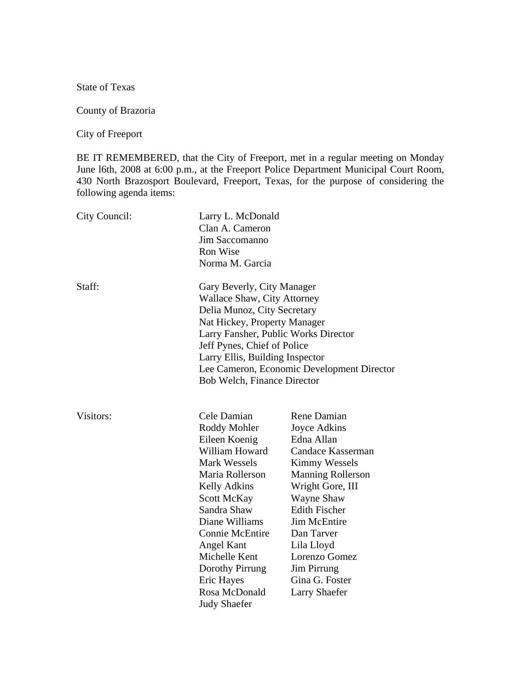State of Texas

County of Brazoria

City of Freeport

BE IT REMEMBERED, that the City of Freeport, met in a regular meeting on Monday June l6th, 2008 at 6:00 p.m., at the Freeport Police Department Municipal Court Room, 430 North Brazosport Boulevard, Freeport, Texas, for the purpose of considering the following agenda items:

| City Council: | Larry L. McDonald<br>Clan A. Cameron<br>Jim Saccomanno<br><b>Ron Wise</b><br>Norma M. Garcia                                                                                                                                                                                                                                    |                                                                                                                                                                                                                                                                                                                  |
|---------------|---------------------------------------------------------------------------------------------------------------------------------------------------------------------------------------------------------------------------------------------------------------------------------------------------------------------------------|------------------------------------------------------------------------------------------------------------------------------------------------------------------------------------------------------------------------------------------------------------------------------------------------------------------|
| Staff:        | Gary Beverly, City Manager<br><b>Wallace Shaw, City Attorney</b><br>Delia Munoz, City Secretary<br>Nat Hickey, Property Manager<br>Larry Fansher, Public Works Director<br>Jeff Pynes, Chief of Police<br>Larry Ellis, Building Inspector<br>Lee Cameron, Economic Development Director<br><b>Bob Welch, Finance Director</b>   |                                                                                                                                                                                                                                                                                                                  |
| Visitors:     | Cele Damian<br>Roddy Mohler<br>Eileen Koenig<br>William Howard<br><b>Mark Wessels</b><br>Maria Rollerson<br><b>Kelly Adkins</b><br><b>Scott McKay</b><br>Sandra Shaw<br>Diane Williams<br><b>Connie McEntire</b><br>Angel Kant<br>Michelle Kent<br>Dorothy Pirrung<br><b>Eric Hayes</b><br>Rosa McDonald<br><b>Judy Shaefer</b> | Rene Damian<br>Joyce Adkins<br>Edna Allan<br>Candace Kasserman<br><b>Kimmy Wessels</b><br><b>Manning Rollerson</b><br>Wright Gore, III<br>Wayne Shaw<br><b>Edith Fischer</b><br><b>Jim McEntire</b><br>Dan Tarver<br>Lila Lloyd<br>Lorenzo Gomez<br><b>Jim Pirrung</b><br>Gina G. Foster<br><b>Larry Shaefer</b> |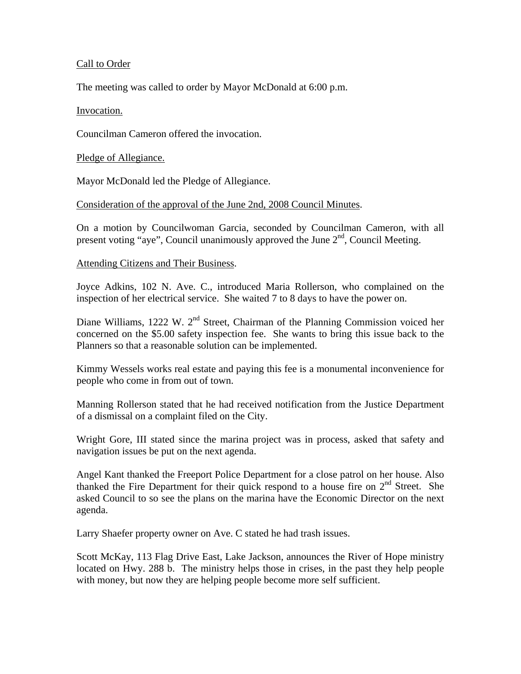# Call to Order

The meeting was called to order by Mayor McDonald at 6:00 p.m.

# Invocation.

Councilman Cameron offered the invocation.

Pledge of Allegiance.

Mayor McDonald led the Pledge of Allegiance.

# Consideration of the approval of the June 2nd, 2008 Council Minutes.

On a motion by Councilwoman Garcia, seconded by Councilman Cameron, with all present voting "aye", Council unanimously approved the June  $2<sup>nd</sup>$ , Council Meeting.

# Attending Citizens and Their Business.

Joyce Adkins, 102 N. Ave. C., introduced Maria Rollerson, who complained on the inspection of her electrical service. She waited 7 to 8 days to have the power on.

Diane Williams, 1222 W.  $2<sup>nd</sup>$  Street, Chairman of the Planning Commission voiced her concerned on the \$5.00 safety inspection fee. She wants to bring this issue back to the Planners so that a reasonable solution can be implemented.

Kimmy Wessels works real estate and paying this fee is a monumental inconvenience for people who come in from out of town.

Manning Rollerson stated that he had received notification from the Justice Department of a dismissal on a complaint filed on the City.

Wright Gore, III stated since the marina project was in process, asked that safety and navigation issues be put on the next agenda.

Angel Kant thanked the Freeport Police Department for a close patrol on her house. Also thanked the Fire Department for their quick respond to a house fire on  $2<sup>nd</sup>$  Street. She asked Council to so see the plans on the marina have the Economic Director on the next agenda.

Larry Shaefer property owner on Ave. C stated he had trash issues.

Scott McKay, 113 Flag Drive East, Lake Jackson, announces the River of Hope ministry located on Hwy. 288 b. The ministry helps those in crises, in the past they help people with money, but now they are helping people become more self sufficient.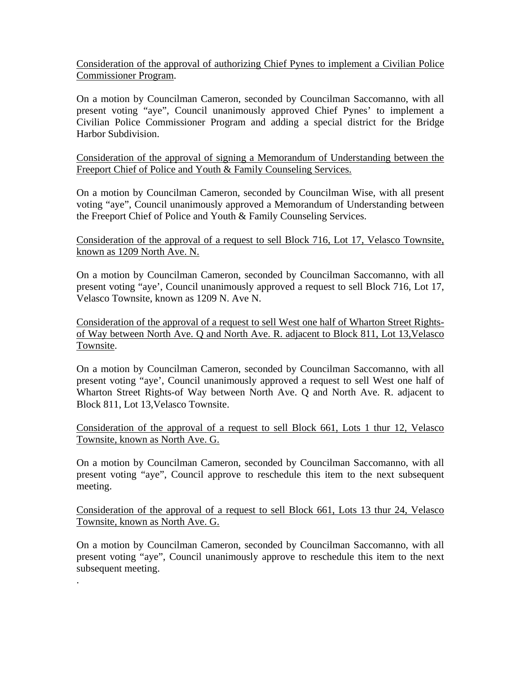Consideration of the approval of authorizing Chief Pynes to implement a Civilian Police Commissioner Program.

On a motion by Councilman Cameron, seconded by Councilman Saccomanno, with all present voting "aye", Council unanimously approved Chief Pynes' to implement a Civilian Police Commissioner Program and adding a special district for the Bridge Harbor Subdivision.

Consideration of the approval of signing a Memorandum of Understanding between the Freeport Chief of Police and Youth & Family Counseling Services.

On a motion by Councilman Cameron, seconded by Councilman Wise, with all present voting "aye", Council unanimously approved a Memorandum of Understanding between the Freeport Chief of Police and Youth & Family Counseling Services.

Consideration of the approval of a request to sell Block 716, Lot 17, Velasco Townsite, known as 1209 North Ave. N.

On a motion by Councilman Cameron, seconded by Councilman Saccomanno, with all present voting "aye', Council unanimously approved a request to sell Block 716, Lot 17, Velasco Townsite, known as 1209 N. Ave N.

Consideration of the approval of a request to sell West one half of Wharton Street Rightsof Way between North Ave. Q and North Ave. R. adjacent to Block 811, Lot 13,Velasco Townsite.

On a motion by Councilman Cameron, seconded by Councilman Saccomanno, with all present voting "aye', Council unanimously approved a request to sell West one half of Wharton Street Rights-of Way between North Ave. Q and North Ave. R. adjacent to Block 811, Lot 13,Velasco Townsite.

Consideration of the approval of a request to sell Block 661, Lots 1 thur 12, Velasco Townsite, known as North Ave. G.

On a motion by Councilman Cameron, seconded by Councilman Saccomanno, with all present voting "aye", Council approve to reschedule this item to the next subsequent meeting.

Consideration of the approval of a request to sell Block 661, Lots 13 thur 24, Velasco Townsite, known as North Ave. G.

On a motion by Councilman Cameron, seconded by Councilman Saccomanno, with all present voting "aye", Council unanimously approve to reschedule this item to the next subsequent meeting.

.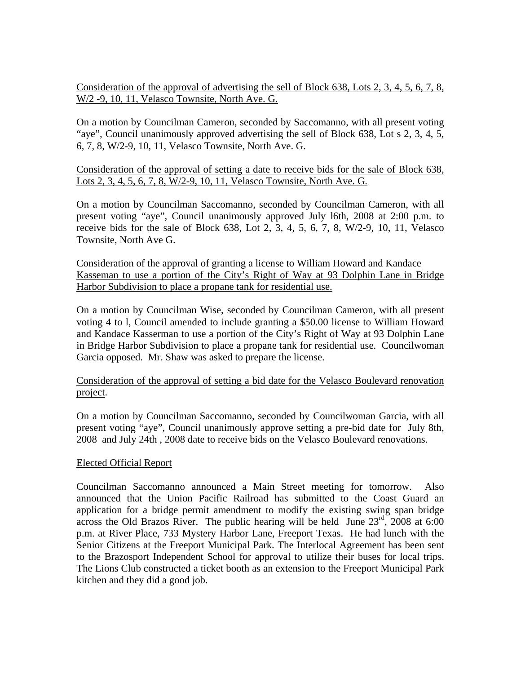Consideration of the approval of advertising the sell of Block 638, Lots 2, 3, 4, 5, 6, 7, 8, W/2 -9, 10, 11, Velasco Townsite, North Ave. G.

On a motion by Councilman Cameron, seconded by Saccomanno, with all present voting "aye", Council unanimously approved advertising the sell of Block 638, Lot s 2, 3, 4, 5, 6, 7, 8, W/2-9, 10, 11, Velasco Townsite, North Ave. G.

Consideration of the approval of setting a date to receive bids for the sale of Block 638, Lots 2, 3, 4, 5, 6, 7, 8, W/2-9, 10, 11, Velasco Townsite, North Ave. G.

On a motion by Councilman Saccomanno, seconded by Councilman Cameron, with all present voting "aye", Council unanimously approved July l6th, 2008 at 2:00 p.m. to receive bids for the sale of Block  $638$ , Lot 2, 3, 4, 5, 6, 7, 8, W/2-9, 10, 11, Velasco Townsite, North Ave G.

Consideration of the approval of granting a license to William Howard and Kandace Kasseman to use a portion of the City's Right of Way at 93 Dolphin Lane in Bridge Harbor Subdivision to place a propane tank for residential use.

On a motion by Councilman Wise, seconded by Councilman Cameron, with all present voting 4 to l, Council amended to include granting a \$50.00 license to William Howard and Kandace Kasserman to use a portion of the City's Right of Way at 93 Dolphin Lane in Bridge Harbor Subdivision to place a propane tank for residential use. Councilwoman Garcia opposed. Mr. Shaw was asked to prepare the license.

# Consideration of the approval of setting a bid date for the Velasco Boulevard renovation project.

On a motion by Councilman Saccomanno, seconded by Councilwoman Garcia, with all present voting "aye", Council unanimously approve setting a pre-bid date for July 8th, 2008 and July 24th , 2008 date to receive bids on the Velasco Boulevard renovations.

# Elected Official Report

Councilman Saccomanno announced a Main Street meeting for tomorrow. Also announced that the Union Pacific Railroad has submitted to the Coast Guard an application for a bridge permit amendment to modify the existing swing span bridge across the Old Brazos River. The public hearing will be held June  $23<sup>rd</sup>$ , 2008 at 6:00 p.m. at River Place, 733 Mystery Harbor Lane, Freeport Texas. He had lunch with the Senior Citizens at the Freeport Municipal Park. The Interlocal Agreement has been sent to the Brazosport Independent School for approval to utilize their buses for local trips. The Lions Club constructed a ticket booth as an extension to the Freeport Municipal Park kitchen and they did a good job.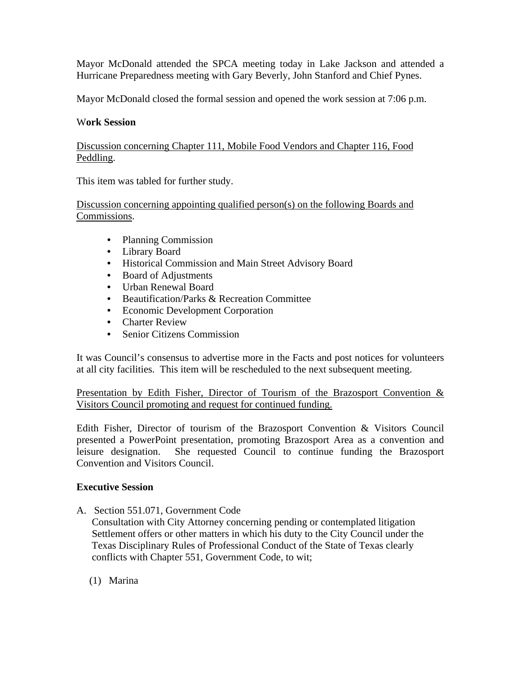Mayor McDonald attended the SPCA meeting today in Lake Jackson and attended a Hurricane Preparedness meeting with Gary Beverly, John Stanford and Chief Pynes.

Mayor McDonald closed the formal session and opened the work session at 7:06 p.m.

#### W**ork Session**

Discussion concerning Chapter 111, Mobile Food Vendors and Chapter 116, Food Peddling.

This item was tabled for further study.

Discussion concerning appointing qualified person(s) on the following Boards and Commissions.

- Planning Commission
- Library Board
- Historical Commission and Main Street Advisory Board
- Board of Adjustments
- Urban Renewal Board
- Beautification/Parks & Recreation Committee
- Economic Development Corporation
- Charter Review
- Senior Citizens Commission

It was Council's consensus to advertise more in the Facts and post notices for volunteers at all city facilities. This item will be rescheduled to the next subsequent meeting.

Presentation by Edith Fisher, Director of Tourism of the Brazosport Convention & Visitors Council promoting and request for continued funding.

Edith Fisher, Director of tourism of the Brazosport Convention & Visitors Council presented a PowerPoint presentation, promoting Brazosport Area as a convention and leisure designation. She requested Council to continue funding the Brazosport Convention and Visitors Council.

# **Executive Session**

A. Section 551.071, Government Code

 Consultation with City Attorney concerning pending or contemplated litigation Settlement offers or other matters in which his duty to the City Council under the Texas Disciplinary Rules of Professional Conduct of the State of Texas clearly conflicts with Chapter 551, Government Code, to wit;

(1) Marina